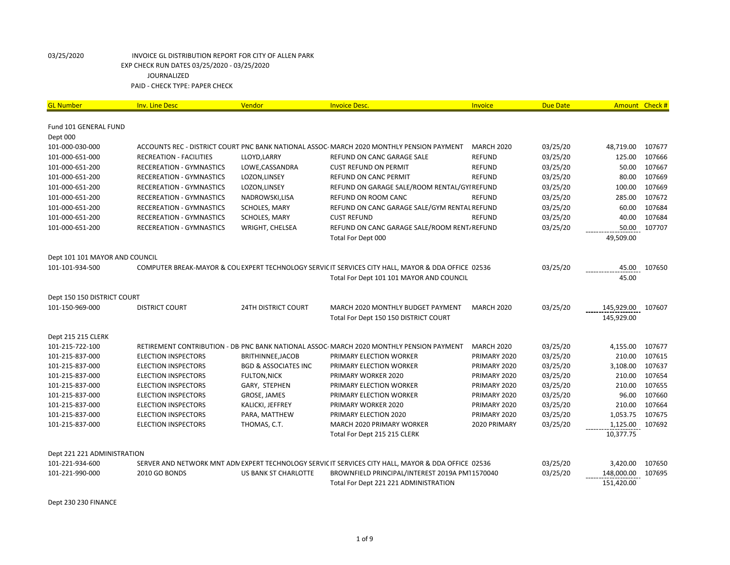| <b>GL Number</b>                   | <b>Inv. Line Desc</b>                                    | Vendor                               | <b>Invoice Desc.</b>                                                                                | Invoice                      | <b>Due Date</b>      | Amount Check #     |                  |
|------------------------------------|----------------------------------------------------------|--------------------------------------|-----------------------------------------------------------------------------------------------------|------------------------------|----------------------|--------------------|------------------|
|                                    |                                                          |                                      |                                                                                                     |                              |                      |                    |                  |
| Fund 101 GENERAL FUND              |                                                          |                                      |                                                                                                     |                              |                      |                    |                  |
| Dept 000                           |                                                          |                                      |                                                                                                     |                              |                      |                    |                  |
| 101-000-030-000                    |                                                          |                                      | ACCOUNTS REC - DISTRICT COURT PNC BANK NATIONAL ASSOC- MARCH 2020 MONTHLY PENSION PAYMENT           | <b>MARCH 2020</b>            | 03/25/20             | 48,719.00          | 107677           |
| 101-000-651-000                    | <b>RECREATION - FACILITIES</b>                           | LLOYD, LARRY                         | REFUND ON CANC GARAGE SALE                                                                          | <b>REFUND</b>                | 03/25/20             | 125.00             | 107666           |
| 101-000-651-200                    | <b>RECEREATION - GYMNASTICS</b>                          | LOWE, CASSANDRA                      | <b>CUST REFUND ON PERMIT</b>                                                                        | <b>REFUND</b>                | 03/25/20             | 50.00              | 107667           |
| 101-000-651-200                    | <b>RECEREATION - GYMNASTICS</b>                          | LOZON, LINSEY                        | REFUND ON CANC PERMIT                                                                               | <b>REFUND</b>                | 03/25/20             | 80.00              | 107669           |
| 101-000-651-200                    | <b>RECEREATION - GYMNASTICS</b>                          | LOZON, LINSEY                        | REFUND ON GARAGE SALE/ROOM RENTAL/GYI REFUND                                                        |                              | 03/25/20             | 100.00             | 107669           |
| 101-000-651-200                    | <b>RECEREATION - GYMNASTICS</b>                          | NADROWSKI, LISA                      | REFUND ON ROOM CANC                                                                                 | <b>REFUND</b>                | 03/25/20             | 285.00             | 107672           |
| 101-000-651-200                    | <b>RECEREATION - GYMNASTICS</b>                          | SCHOLES, MARY                        | REFUND ON CANC GARAGE SALE/GYM RENTAL REFUND                                                        |                              | 03/25/20             | 60.00              | 107684           |
| 101-000-651-200                    | <b>RECEREATION - GYMNASTICS</b>                          | SCHOLES, MARY                        | <b>CUST REFUND</b>                                                                                  | <b>REFUND</b>                | 03/25/20             | 40.00              | 107684           |
| 101-000-651-200                    | <b>RECEREATION - GYMNASTICS</b>                          | WRIGHT, CHELSEA                      | REFUND ON CANC GARAGE SALE/ROOM RENT/REFUND                                                         |                              | 03/25/20             | 50.00              | 107707           |
|                                    |                                                          |                                      | Total For Dept 000                                                                                  |                              |                      | 49,509.00          |                  |
| Dept 101 101 MAYOR AND COUNCIL     |                                                          |                                      |                                                                                                     |                              |                      |                    |                  |
| 101-101-934-500                    |                                                          |                                      | COMPUTER BREAK-MAYOR & COL EXPERT TECHNOLOGY SERVIC IT SERVICES CITY HALL, MAYOR & DDA OFFICE 02536 |                              | 03/25/20             | 45.00              | 107650           |
|                                    |                                                          |                                      | Total For Dept 101 101 MAYOR AND COUNCIL                                                            |                              |                      | 45.00              |                  |
| Dept 150 150 DISTRICT COURT        |                                                          |                                      |                                                                                                     |                              |                      |                    |                  |
| 101-150-969-000                    | <b>DISTRICT COURT</b>                                    | <b>24TH DISTRICT COURT</b>           | MARCH 2020 MONTHLY BUDGET PAYMENT                                                                   | <b>MARCH 2020</b>            | 03/25/20             | 145,929.00         | 107607           |
|                                    |                                                          |                                      | Total For Dept 150 150 DISTRICT COURT                                                               |                              |                      | 145,929.00         |                  |
|                                    |                                                          |                                      |                                                                                                     |                              |                      |                    |                  |
| Dept 215 215 CLERK                 |                                                          |                                      |                                                                                                     |                              |                      |                    |                  |
| 101-215-722-100                    |                                                          |                                      | RETIREMENT CONTRIBUTION - DB PNC BANK NATIONAL ASSOC-MARCH 2020 MONTHLY PENSION PAYMENT             | <b>MARCH 2020</b>            | 03/25/20             | 4,155.00           | 107677           |
| 101-215-837-000                    | <b>ELECTION INSPECTORS</b>                               | BRITHINNEE, JACOB                    | PRIMARY ELECTION WORKER                                                                             | PRIMARY 2020                 | 03/25/20             | 210.00             | 107615           |
| 101-215-837-000                    | <b>ELECTION INSPECTORS</b><br><b>ELECTION INSPECTORS</b> | <b>BGD &amp; ASSOCIATES INC</b>      | PRIMARY ELECTION WORKER                                                                             | PRIMARY 2020                 | 03/25/20             | 3,108.00<br>210.00 | 107637           |
| 101-215-837-000<br>101-215-837-000 | <b>ELECTION INSPECTORS</b>                               | <b>FULTON, NICK</b><br>GARY, STEPHEN | PRIMARY WORKER 2020<br>PRIMARY ELECTION WORKER                                                      | PRIMARY 2020<br>PRIMARY 2020 | 03/25/20             | 210.00             | 107654<br>107655 |
| 101-215-837-000                    | <b>ELECTION INSPECTORS</b>                               | GROSE, JAMES                         | PRIMARY ELECTION WORKER                                                                             | PRIMARY 2020                 | 03/25/20<br>03/25/20 | 96.00              | 107660           |
| 101-215-837-000                    | <b>ELECTION INSPECTORS</b>                               | KALICKI, JEFFREY                     | PRIMARY WORKER 2020                                                                                 | PRIMARY 2020                 | 03/25/20             |                    | 210.00 107664    |
| 101-215-837-000                    | <b>ELECTION INSPECTORS</b>                               | PARA, MATTHEW                        | PRIMARY ELECTION 2020                                                                               | PRIMARY 2020                 | 03/25/20             | 1,053.75           | 107675           |
| 101-215-837-000                    | <b>ELECTION INSPECTORS</b>                               | THOMAS, C.T.                         | MARCH 2020 PRIMARY WORKER                                                                           | 2020 PRIMARY                 | 03/25/20             | 1,125.00           | 107692           |
|                                    |                                                          |                                      | Total For Dept 215 215 CLERK                                                                        |                              |                      | 10,377.75          |                  |
|                                    |                                                          |                                      |                                                                                                     |                              |                      |                    |                  |
| Dept 221 221 ADMINISTRATION        |                                                          |                                      |                                                                                                     |                              |                      |                    |                  |
| 101-221-934-600                    |                                                          |                                      | SERVER AND NETWORK MNT ADN EXPERT TECHNOLOGY SERVIC IT SERVICES CITY HALL, MAYOR & DDA OFFICE 02536 |                              | 03/25/20             | 3,420.00           | 107650           |
| 101-221-990-000                    | 2010 GO BONDS                                            | <b>US BANK ST CHARLOTTE</b>          | BROWNFIELD PRINCIPAL/INTEREST 2019A PM11570040                                                      |                              | 03/25/20             | 148,000.00         | 107695           |
|                                    |                                                          |                                      | Total For Dept 221 221 ADMINISTRATION                                                               |                              |                      | 151,420.00         |                  |

Dept 230 230 FINANCE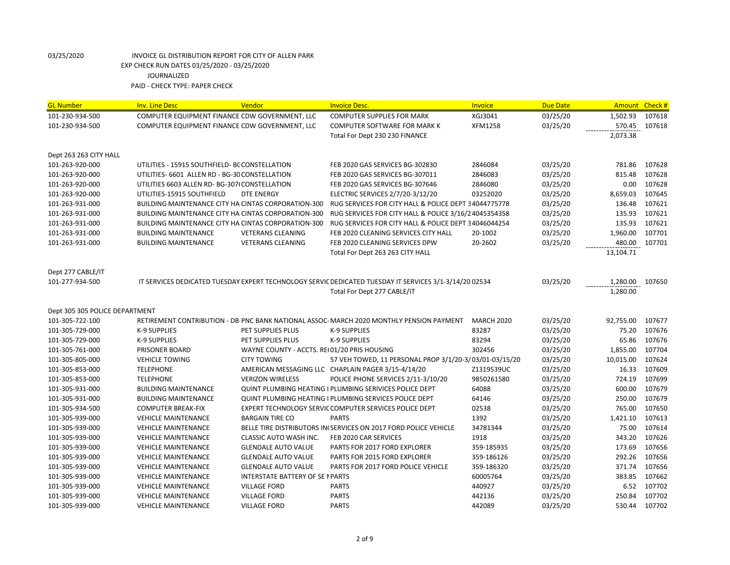| <b>GL Number</b>               | <b>Inv. Line Desc</b>                          | Vendor                                              | <b>Invoice Desc.</b>                                                                                   | Invoice           | <b>Due Date</b> | Amount Check # |        |
|--------------------------------|------------------------------------------------|-----------------------------------------------------|--------------------------------------------------------------------------------------------------------|-------------------|-----------------|----------------|--------|
| 101-230-934-500                | COMPUTER EQUIPMENT FINANCE CDW GOVERNMENT, LLC |                                                     | <b>COMPUTER SUPPLIES FOR MARK</b>                                                                      | XGJ3041           | 03/25/20        | 1,502.93       | 107618 |
| 101-230-934-500                | COMPUTER EQUIPMENT FINANCE CDW GOVERNMENT, LLC |                                                     | <b>COMPUTER SOFTWARE FOR MARK K</b>                                                                    | XFM1258           | 03/25/20        | 570.45         | 107618 |
|                                |                                                |                                                     | Total For Dept 230 230 FINANCE                                                                         |                   |                 | 2,073.38       |        |
| Dept 263 263 CITY HALL         |                                                |                                                     |                                                                                                        |                   |                 |                |        |
| 101-263-920-000                | UTILITIES - 15915 SOUTHFIELD- BC CONSTELLATION |                                                     | FEB 2020 GAS SERVICES BG-302830                                                                        | 2846084           | 03/25/20        | 781.86         | 107628 |
| 101-263-920-000                | UTILITIES- 6601 ALLEN RD - BG-30 CONSTELLATION |                                                     | FEB 2020 GAS SERVICES BG-307011                                                                        | 2846083           | 03/25/20        | 815.48         | 107628 |
| 101-263-920-000                | UTILITIES 6603 ALLEN RD- BG-307(CONSTELLATION  |                                                     | FEB 2020 GAS SERVICES BG-307646                                                                        | 2846080           | 03/25/20        | 0.00           | 107628 |
| 101-263-920-000                | UTILITIES-15915 SOUTHFIELD                     | DTE ENERGY                                          | ELECTRIC SERVICES 2/7/20-3/12/20                                                                       | 03252020          | 03/25/20        | 8,659.03       | 107645 |
| 101-263-931-000                |                                                | BUILDING MAINTENANCE CITY HA CINTAS CORPORATION-300 | RUG SERVICES FOR CITY HALL & POLICE DEPT 34044775778                                                   |                   | 03/25/20        | 136.48         | 107621 |
| 101-263-931-000                |                                                | BUILDING MAINTENANCE CITY HA CINTAS CORPORATION-300 | RUG SERVICES FOR CITY HALL & POLICE 3/16/2 4045354358                                                  |                   | 03/25/20        | 135.93         | 107621 |
| 101-263-931-000                |                                                | BUILDING MAINTENANCE CITY HA CINTAS CORPORATION-300 | RUG SERVICES FOR CITY HALL & POLICE DEPT 34046044254                                                   |                   | 03/25/20        | 135.93         | 107621 |
| 101-263-931-000                | <b>BUILDING MAINTENANCE</b>                    | <b>VETERANS CLEANING</b>                            | FEB 2020 CLEANING SERVICES CITY HALL                                                                   | 20-1002           | 03/25/20        | 1,960.00       | 107701 |
| 101-263-931-000                | <b>BUILDING MAINTENANCE</b>                    | <b>VETERANS CLEANING</b>                            | FEB 2020 CLEANING SERVICES DPW                                                                         | 20-2602           | 03/25/20        | 480.00         | 107701 |
|                                |                                                |                                                     | Total For Dept 263 263 CITY HALL                                                                       |                   |                 | 13,104.71      |        |
| Dept 277 CABLE/IT              |                                                |                                                     |                                                                                                        |                   |                 |                |        |
| 101-277-934-500                |                                                |                                                     | IT SERVICES DEDICATED TUESDAY EXPERT TECHNOLOGY SERVIC DEDICATED TUESDAY IT SERVICES 3/1-3/14/20 02534 |                   | 03/25/20        | 1,280.00       | 107650 |
|                                |                                                |                                                     | Total For Dept 277 CABLE/IT                                                                            |                   |                 | 1,280.00       |        |
|                                |                                                |                                                     |                                                                                                        |                   |                 |                |        |
| Dept 305 305 POLICE DEPARTMENT |                                                |                                                     |                                                                                                        |                   |                 |                |        |
| 101-305-722-100                |                                                |                                                     | RETIREMENT CONTRIBUTION - DB PNC BANK NATIONAL ASSOC-MARCH 2020 MONTHLY PENSION PAYMENT                | <b>MARCH 2020</b> | 03/25/20        | 92,755.00      | 107677 |
| 101-305-729-000                | <b>K-9 SUPPLIES</b>                            | PET SUPPLIES PLUS                                   | <b>K-9 SUPPLIES</b>                                                                                    | 83287             | 03/25/20        | 75.20          | 107676 |
| 101-305-729-000                | K-9 SUPPLIES                                   | PET SUPPLIES PLUS                                   | <b>K-9 SUPPLIES</b>                                                                                    | 83294             | 03/25/20        | 65.86          | 107676 |
| 101-305-761-000                | PRISONER BOARD                                 | WAYNE COUNTY - ACCTS. REI 01/20 PRIS HOUSING        |                                                                                                        | 302456            | 03/25/20        | 1,855.00       | 107704 |
| 101-305-805-000                | <b>VEHICLE TOWING</b>                          | <b>CITY TOWING</b>                                  | 57 VEH TOWED, 11 PERSONAL PROP 3/1/20-3/03/01-03/15/20                                                 |                   | 03/25/20        | 10,015.00      | 107624 |
| 101-305-853-000                | <b>TELEPHONE</b>                               |                                                     | AMERICAN MESSAGING LLC CHAPLAIN PAGER 3/15-4/14/20                                                     | Z1319539UC        | 03/25/20        | 16.33          | 107609 |
| 101-305-853-000                | <b>TELEPHONE</b>                               | <b>VERIZON WIRELESS</b>                             | POLICE PHONE SERVICES 2/11-3/10/20                                                                     | 9850261580        | 03/25/20        | 724.19         | 107699 |
| 101-305-931-000                | <b>BUILDING MAINTENANCE</b>                    |                                                     | <b>QUINT PLUMBING HEATING I PLUMBING SERIVICES POLICE DEPT</b>                                         | 64088             | 03/25/20        | 600.00         | 107679 |
| 101-305-931-000                | <b>BUILDING MAINTENANCE</b>                    |                                                     | <b>QUINT PLUMBING HEATING I PLUMBING SERVICES POLICE DEPT</b>                                          | 64146             | 03/25/20        | 250.00         | 107679 |
| 101-305-934-500                | <b>COMPUTER BREAK-FIX</b>                      |                                                     | EXPERT TECHNOLOGY SERVIC COMPUTER SERVICES POLICE DEPT                                                 | 02538             | 03/25/20        | 765.00         | 107650 |
| 101-305-939-000                | <b>VEHICLE MAINTENANCE</b>                     | <b>BARGAIN TIRE CO</b>                              | <b>PARTS</b>                                                                                           | 1392              | 03/25/20        | 1,421.10       | 107613 |
| 101-305-939-000                | <b>VEHICLE MAINTENANCE</b>                     |                                                     | BELLE TIRE DISTRIBUTORS IN(SERVICES ON 2017 FORD POLICE VEHICLE                                        | 34781344          | 03/25/20        | 75.00          | 107614 |
| 101-305-939-000                | <b>VEHICLE MAINTENANCE</b>                     | <b>CLASSIC AUTO WASH INC.</b>                       | FEB 2020 CAR SERVICES                                                                                  | 1918              | 03/25/20        | 343.20         | 107626 |
| 101-305-939-000                | <b>VEHICLE MAINTENANCE</b>                     | <b>GLENDALE AUTO VALUE</b>                          | PARTS FOR 2017 FORD EXPLORER                                                                           | 359-185935        | 03/25/20        | 173.69         | 107656 |
| 101-305-939-000                | <b>VEHICLE MAINTENANCE</b>                     | <b>GLENDALE AUTO VALUE</b>                          | PARTS FOR 2015 FORD EXPLORER                                                                           | 359-186126        | 03/25/20        | 292.26         | 107656 |
| 101-305-939-000                | <b>VEHICLE MAINTENANCE</b>                     | <b>GLENDALE AUTO VALUE</b>                          | PARTS FOR 2017 FORD POLICE VEHICLE                                                                     | 359-186320        | 03/25/20        | 371.74         | 107656 |
| 101-305-939-000                | <b>VEHICLE MAINTENANCE</b>                     | INTERSTATE BATTERY OF SE I PARTS                    |                                                                                                        | 60005764          | 03/25/20        | 383.85         | 107662 |
| 101-305-939-000                | <b>VEHICLE MAINTENANCE</b>                     | <b>VILLAGE FORD</b>                                 | <b>PARTS</b>                                                                                           | 440927            | 03/25/20        | 6.52           | 107702 |
| 101-305-939-000                | <b>VEHICLE MAINTENANCE</b>                     | <b>VILLAGE FORD</b>                                 | <b>PARTS</b>                                                                                           | 442136            | 03/25/20        | 250.84         | 107702 |
| 101-305-939-000                | <b>VEHICLE MAINTENANCE</b>                     | <b>VILLAGE FORD</b>                                 | <b>PARTS</b>                                                                                           | 442089            | 03/25/20        | 530.44         | 107702 |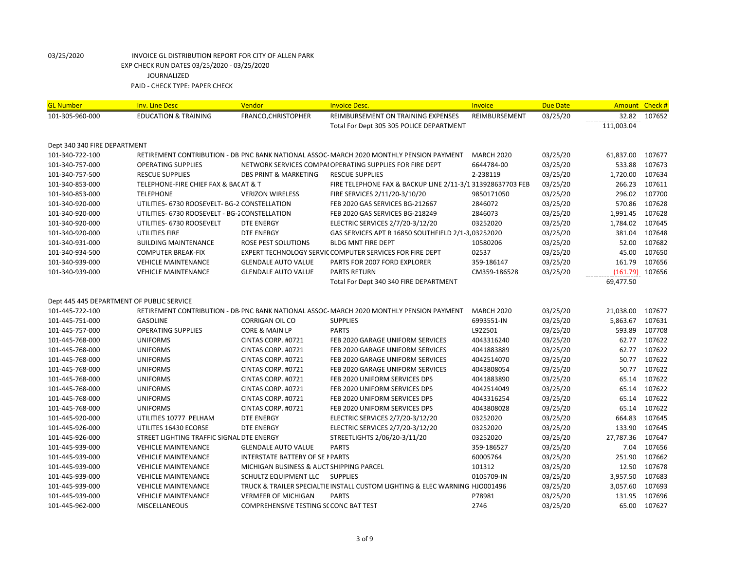| <b>GL Number</b>                          | <b>Inv. Line Desc</b>                          | Vendor                                   | <b>Invoice Desc.</b>                                                                    | <b>Invoice</b>    | <b>Due Date</b> | Amount Check # |              |
|-------------------------------------------|------------------------------------------------|------------------------------------------|-----------------------------------------------------------------------------------------|-------------------|-----------------|----------------|--------------|
| 101-305-960-000                           | <b>EDUCATION &amp; TRAINING</b>                | FRANCO, CHRISTOPHER                      | REIMBURSEMENT ON TRAINING EXPENSES                                                      | REIMBURSEMENT     | 03/25/20        | 32.82          | 107652       |
|                                           |                                                |                                          | Total For Dept 305 305 POLICE DEPARTMENT                                                |                   |                 | 111,003.04     |              |
| Dept 340 340 FIRE DEPARTMENT              |                                                |                                          |                                                                                         |                   |                 |                |              |
| 101-340-722-100                           |                                                |                                          | RETIREMENT CONTRIBUTION - DB PNC BANK NATIONAL ASSOC-MARCH 2020 MONTHLY PENSION PAYMENT | <b>MARCH 2020</b> | 03/25/20        | 61,837.00      | 107677       |
| 101-340-757-000                           | <b>OPERATING SUPPLIES</b>                      |                                          | NETWORK SERVICES COMPAI OPERATING SUPPLIES FOR FIRE DEPT                                | 6644784-00        | 03/25/20        | 533.88         | 107673       |
| 101-340-757-500                           | <b>RESCUE SUPPLIES</b>                         | <b>DBS PRINT &amp; MARKETING</b>         | <b>RESCUE SUPPLIES</b>                                                                  | 2-238119          | 03/25/20        | 1,720.00       | 107634       |
| 101-340-853-000                           | TELEPHONE-FIRE CHIEF FAX & BA( AT & T          |                                          | FIRE TELEPHONE FAX & BACKUP LINE 2/11-3/1 313928637703 FEB                              |                   | 03/25/20        | 266.23         | 107611       |
| 101-340-853-000                           | <b>TELEPHONE</b>                               | <b>VERIZON WIRELESS</b>                  | FIRE SERVICES 2/11/20-3/10/20                                                           | 9850171050        | 03/25/20        | 296.02         | 107700       |
| 101-340-920-000                           | UTILITIES- 6730 ROOSEVELT- BG-2 CONSTELLATION  |                                          | FEB 2020 GAS SERVICES BG-212667                                                         | 2846072           | 03/25/20        | 570.86         | 107628       |
| 101-340-920-000                           | UTILITIES- 6730 ROOSEVELT - BG-2 CONSTELLATION |                                          | FEB 2020 GAS SERVICES BG-218249                                                         | 2846073           | 03/25/20        | 1,991.45       | 107628       |
| 101-340-920-000                           | UTILITIES- 6730 ROOSEVELT                      | <b>DTE ENERGY</b>                        | ELECTRIC SERVICES 2/7/20-3/12/20                                                        | 03252020          | 03/25/20        | 1,784.02       | 107645       |
| 101-340-920-000                           | UTILITIES FIRE                                 | <b>DTE ENERGY</b>                        | GAS SERVICES APT R 16850 SOUTHFIELD 2/1-3,03252020                                      |                   | 03/25/20        | 381.04         | 107648       |
| 101-340-931-000                           | <b>BUILDING MAINTENANCE</b>                    | <b>ROSE PEST SOLUTIONS</b>               | <b>BLDG MNT FIRE DEPT</b>                                                               | 10580206          | 03/25/20        | 52.00          | 107682       |
| 101-340-934-500                           | <b>COMPUTER BREAK-FIX</b>                      |                                          | EXPERT TECHNOLOGY SERVIC COMPUTER SERVICES FOR FIRE DEPT                                | 02537             | 03/25/20        | 45.00          | 107650       |
| 101-340-939-000                           | <b>VEHICLE MAINTENANCE</b>                     | <b>GLENDALE AUTO VALUE</b>               | PARTS FOR 2007 FORD EXPLORER                                                            | 359-186147        | 03/25/20        | 161.79         | 107656       |
| 101-340-939-000                           | <b>VEHICLE MAINTENANCE</b>                     | <b>GLENDALE AUTO VALUE</b>               | <b>PARTS RETURN</b>                                                                     | CM359-186528      | 03/25/20        | (161.79)       | 107656       |
|                                           |                                                |                                          | Total For Dept 340 340 FIRE DEPARTMENT                                                  |                   |                 | 69,477.50      |              |
| Dept 445 445 DEPARTMENT OF PUBLIC SERVICE |                                                |                                          |                                                                                         |                   |                 |                |              |
| 101-445-722-100                           |                                                |                                          | RETIREMENT CONTRIBUTION - DB PNC BANK NATIONAL ASSOC-MARCH 2020 MONTHLY PENSION PAYMENT | <b>MARCH 2020</b> | 03/25/20        | 21,038.00      | 107677       |
| 101-445-751-000                           | <b>GASOLINE</b>                                | <b>CORRIGAN OIL CO</b>                   | <b>SUPPLIES</b>                                                                         | 6993551-IN        | 03/25/20        | 5,863.67       | 107631       |
| 101-445-757-000                           | <b>OPERATING SUPPLIES</b>                      | CORE & MAIN LP                           | <b>PARTS</b>                                                                            | L922501           | 03/25/20        | 593.89         | 107708       |
| 101-445-768-000                           | <b>UNIFORMS</b>                                | CINTAS CORP. #0721                       | FEB 2020 GARAGE UNIFORM SERVICES                                                        | 4043316240        | 03/25/20        | 62.77          | 107622       |
| 101-445-768-000                           | <b>UNIFORMS</b>                                | CINTAS CORP. #0721                       | FEB 2020 GARAGE UNIFORM SERVICES                                                        | 4041883889        | 03/25/20        | 62.77          | 107622       |
| 101-445-768-000                           | <b>UNIFORMS</b>                                | CINTAS CORP. #0721                       | FEB 2020 GARAGE UNIFORM SERVICES                                                        | 4042514070        | 03/25/20        | 50.77          | 107622       |
| 101-445-768-000                           | <b>UNIFORMS</b>                                | CINTAS CORP. #0721                       | FEB 2020 GARAGE UNIFORM SERVICES                                                        | 4043808054        | 03/25/20        | 50.77          | 107622       |
| 101-445-768-000                           | <b>UNIFORMS</b>                                | CINTAS CORP. #0721                       | FEB 2020 UNIFORM SERVICES DPS                                                           | 4041883890        | 03/25/20        | 65.14          | 107622       |
| 101-445-768-000                           | <b>UNIFORMS</b>                                | CINTAS CORP. #0721                       | FEB 2020 UNIFORM SERVICES DPS                                                           | 4042514049        | 03/25/20        | 65.14          | 107622       |
| 101-445-768-000                           | <b>UNIFORMS</b>                                | CINTAS CORP. #0721                       | FEB 2020 UNIFORM SERVICES DPS                                                           | 4043316254        | 03/25/20        | 65.14          | 107622       |
| 101-445-768-000                           | <b>UNIFORMS</b>                                | CINTAS CORP. #0721                       | FEB 2020 UNIFORM SERVICES DPS                                                           | 4043808028        | 03/25/20        | 65.14          | 107622       |
| 101-445-920-000                           | UTILITIES 10777 PELHAM                         | DTE ENERGY                               | ELECTRIC SERVICES 2/7/20-3/12/20                                                        | 03252020          | 03/25/20        | 664.83         | 107645       |
| 101-445-926-000                           | UTILITES 16430 ECORSE                          | DTE ENERGY                               | ELECTRIC SERVICES 2/7/20-3/12/20                                                        | 03252020          | 03/25/20        | 133.90         | 107645       |
| 101-445-926-000                           | STREET LIGHTING TRAFFIC SIGNAL DTE ENERGY      |                                          | STREETLIGHTS 2/06/20-3/11/20                                                            | 03252020          | 03/25/20        | 27,787.36      | 107647       |
| 101-445-939-000                           | <b>VEHICLE MAINTENANCE</b>                     | <b>GLENDALE AUTO VALUE</b>               | <b>PARTS</b>                                                                            | 359-186527        | 03/25/20        | 7.04           | 107656       |
| 101-445-939-000                           | <b>VEHICLE MAINTENANCE</b>                     | INTERSTATE BATTERY OF SE I PARTS         |                                                                                         | 60005764          | 03/25/20        | 251.90         | 107662       |
| 101-445-939-000                           | <b>VEHICLE MAINTENANCE</b>                     | MICHIGAN BUSINESS & AUCT SHIPPING PARCEL |                                                                                         | 101312            | 03/25/20        | 12.50          | 107678       |
| 101-445-939-000                           | <b>VEHICLE MAINTENANCE</b>                     | SCHULTZ EQUIPMENT LLC SUPPLIES           |                                                                                         | 0105709-IN        | 03/25/20        | 3,957.50       | 107683       |
| 101-445-939-000                           | <b>VEHICLE MAINTENANCE</b>                     |                                          | TRUCK & TRAILER SPECIALTIE INSTALL CUSTOM LIGHTING & ELEC WARNING HJO001496             |                   | 03/25/20        | 3,057.60       | 107693       |
| 101-445-939-000                           | <b>VEHICLE MAINTENANCE</b>                     | <b>VERMEER OF MICHIGAN</b>               | <b>PARTS</b>                                                                            | P78981            | 03/25/20        | 131.95         | 107696       |
| 101-445-962-000                           | MISCELLANEOUS                                  | COMPREHENSIVE TESTING SCCONC BAT TEST    |                                                                                         | 2746              | 03/25/20        |                | 65.00 107627 |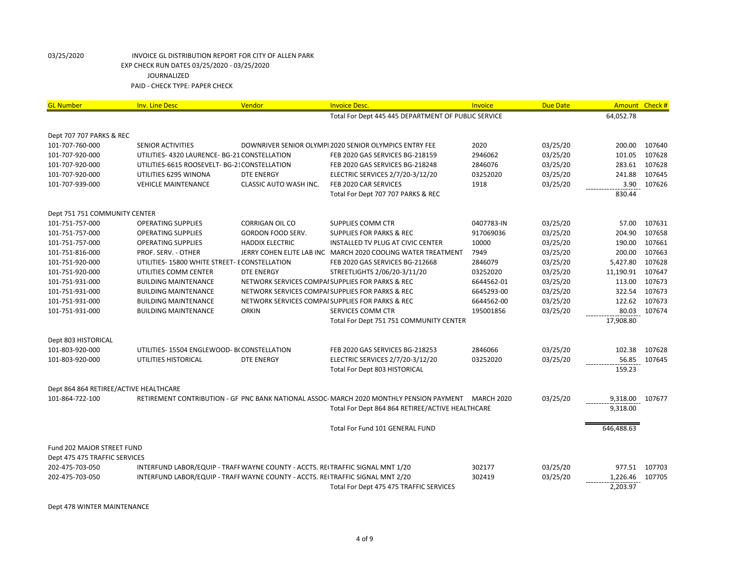| <b>GL Number</b>                       | Inv. Line Desc                                                                 | Vendor                    | <b>Invoice Desc.</b>                                                                    | Invoice           | <b>Due Date</b> |            | Amount Check # |
|----------------------------------------|--------------------------------------------------------------------------------|---------------------------|-----------------------------------------------------------------------------------------|-------------------|-----------------|------------|----------------|
|                                        |                                                                                |                           | Total For Dept 445 445 DEPARTMENT OF PUBLIC SERVICE                                     |                   |                 | 64,052.78  |                |
|                                        |                                                                                |                           |                                                                                         |                   |                 |            |                |
| Dept 707 707 PARKS & REC               |                                                                                |                           |                                                                                         |                   |                 |            |                |
| 101-707-760-000                        | <b>SENIOR ACTIVITIES</b>                                                       |                           | DOWNRIVER SENIOR OLYMPI 2020 SENIOR OLYMPICS ENTRY FEE                                  | 2020              | 03/25/20        | 200.00     | 107640         |
| 101-707-920-000                        | UTILITIES- 4320 LAURENCE- BG-21 CONSTELLATION                                  |                           | FEB 2020 GAS SERVICES BG-218159                                                         | 2946062           | 03/25/20        | 101.05     | 107628         |
| 101-707-920-000                        | UTILITIES-6615 ROOSEVELT- BG-21 CONSTELLATION                                  |                           | FEB 2020 GAS SERVICES BG-218248                                                         | 2846076           | 03/25/20        | 283.61     | 107628         |
| 101-707-920-000                        | UTILITIES 6295 WINONA                                                          | <b>DTE ENERGY</b>         | ELECTRIC SERVICES 2/7/20-3/12/20                                                        | 03252020          | 03/25/20        | 241.88     | 107645         |
| 101-707-939-000                        | <b>VEHICLE MAINTENANCE</b>                                                     | CLASSIC AUTO WASH INC.    | FEB 2020 CAR SERVICES                                                                   | 1918              | 03/25/20        | 3.90       | 107626         |
|                                        |                                                                                |                           | Total For Dept 707 707 PARKS & REC                                                      |                   |                 | 830.44     |                |
| Dept 751 751 COMMUNITY CENTER          |                                                                                |                           |                                                                                         |                   |                 |            |                |
| 101-751-757-000                        | <b>OPERATING SUPPLIES</b>                                                      | <b>CORRIGAN OIL CO</b>    | <b>SUPPLIES COMM CTR</b>                                                                | 0407783-IN        | 03/25/20        | 57.00      | 107631         |
| 101-751-757-000                        | <b>OPERATING SUPPLIES</b>                                                      | <b>GORDON FOOD SERV.</b>  | <b>SUPPLIES FOR PARKS &amp; REC</b>                                                     | 917069036         | 03/25/20        | 204.90     | 107658         |
| 101-751-757-000                        | <b>OPERATING SUPPLIES</b>                                                      | <b>HADDIX ELECTRIC</b>    | INSTALLED TV PLUG AT CIVIC CENTER                                                       | 10000             | 03/25/20        | 190.00     | 107661         |
| 101-751-816-000                        | PROF. SERV. - OTHER                                                            | JERRY COHEN ELITE LAB INC | MARCH 2020 COOLING WATER TREATMENT                                                      | 7949              | 03/25/20        | 200.00     | 107663         |
| 101-751-920-000                        | UTILITIES-15800 WHITE STREET- ECONSTELLATION                                   |                           | FEB 2020 GAS SERVICES BG-212668                                                         | 2846079           | 03/25/20        | 5,427.80   | 107628         |
| 101-751-920-000                        | UTILITIES COMM CENTER                                                          | <b>DTE ENERGY</b>         | STREETLIGHTS 2/06/20-3/11/20                                                            | 03252020          | 03/25/20        | 11,190.91  | 107647         |
| 101-751-931-000                        | <b>BUILDING MAINTENANCE</b>                                                    |                           | NETWORK SERVICES COMPAISUPPLIES FOR PARKS & REC                                         | 6644562-01        | 03/25/20        | 113.00     | 107673         |
| 101-751-931-000                        | <b>BUILDING MAINTENANCE</b>                                                    |                           | NETWORK SERVICES COMPAISUPPLIES FOR PARKS & REC                                         | 6645293-00        | 03/25/20        | 322.54     | 107673         |
| 101-751-931-000                        | <b>BUILDING MAINTENANCE</b>                                                    |                           | NETWORK SERVICES COMPAISUPPLIES FOR PARKS & REC                                         | 6644562-00        | 03/25/20        | 122.62     | 107673         |
| 101-751-931-000                        | <b>BUILDING MAINTENANCE</b>                                                    | <b>ORKIN</b>              | SERVICES COMM CTR                                                                       | 195001856         | 03/25/20        | 80.03      | 107674         |
|                                        |                                                                                |                           | Total For Dept 751 751 COMMUNITY CENTER                                                 |                   |                 | 17,908.80  |                |
| Dept 803 HISTORICAL                    |                                                                                |                           |                                                                                         |                   |                 |            |                |
| 101-803-920-000                        | UTILITIES-15504 ENGLEWOOD- BCCONSTELLATION                                     |                           | FEB 2020 GAS SERVICES BG-218253                                                         | 2846066           | 03/25/20        | 102.38     | 107628         |
| 101-803-920-000                        | UTILITIES HISTORICAL                                                           | <b>DTE ENERGY</b>         | ELECTRIC SERVICES 2/7/20-3/12/20                                                        | 03252020          | 03/25/20        | 56.85      | 107645         |
|                                        |                                                                                |                           | Total For Dept 803 HISTORICAL                                                           |                   |                 | 159.23     |                |
| Dept 864 864 RETIREE/ACTIVE HEALTHCARE |                                                                                |                           |                                                                                         |                   |                 |            |                |
| 101-864-722-100                        |                                                                                |                           | RETIREMENT CONTRIBUTION - GF PNC BANK NATIONAL ASSOC-MARCH 2020 MONTHLY PENSION PAYMENT | <b>MARCH 2020</b> | 03/25/20        | 9,318.00   | 107677         |
|                                        |                                                                                |                           | Total For Dept 864 864 RETIREE/ACTIVE HEALTHCARE                                        |                   |                 | 9,318.00   |                |
|                                        |                                                                                |                           | Total For Fund 101 GENERAL FUND                                                         |                   |                 | 646,488.63 |                |
|                                        |                                                                                |                           |                                                                                         |                   |                 |            |                |
| Fund 202 MAJOR STREET FUND             |                                                                                |                           |                                                                                         |                   |                 |            |                |
| Dept 475 475 TRAFFIC SERVICES          |                                                                                |                           |                                                                                         |                   |                 |            |                |
| 202-475-703-050                        | INTERFUND LABOR/EQUIP - TRAFF WAYNE COUNTY - ACCTS. REITRAFFIC SIGNAL MNT 1/20 |                           |                                                                                         | 302177            | 03/25/20        | 977.51     | 107703         |
| 202-475-703-050                        | INTERFUND LABOR/EQUIP - TRAFF WAYNE COUNTY - ACCTS. REITRAFFIC SIGNAL MNT 2/20 |                           |                                                                                         | 302419            | 03/25/20        | 1,226.46   | 107705         |
|                                        |                                                                                |                           | Total For Dept 475 475 TRAFFIC SERVICES                                                 |                   |                 | 2,203.97   |                |

Dept 478 WINTER MAINTENANCE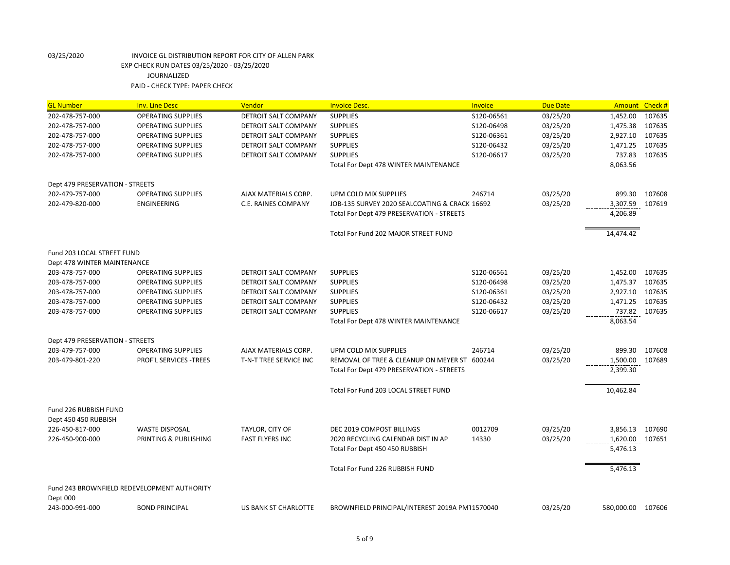| <b>GL Number</b>                   | <b>Inv. Line Desc</b>                          | Vendor                                    | <b>Invoice Desc.</b>                                            | Invoice          | <b>Due Date</b>      | Amount Check #       |                  |
|------------------------------------|------------------------------------------------|-------------------------------------------|-----------------------------------------------------------------|------------------|----------------------|----------------------|------------------|
| 202-478-757-000                    | <b>OPERATING SUPPLIES</b>                      | DETROIT SALT COMPANY                      | <b>SUPPLIES</b>                                                 | S120-06561       | 03/25/20             | 1,452.00             | 107635           |
| 202-478-757-000                    | <b>OPERATING SUPPLIES</b>                      | DETROIT SALT COMPANY                      | <b>SUPPLIES</b>                                                 | S120-06498       | 03/25/20             | 1,475.38             | 107635           |
| 202-478-757-000                    | <b>OPERATING SUPPLIES</b>                      | DETROIT SALT COMPANY                      | <b>SUPPLIES</b>                                                 | S120-06361       | 03/25/20             | 2,927.10             | 107635           |
| 202-478-757-000                    | <b>OPERATING SUPPLIES</b>                      | DETROIT SALT COMPANY                      | <b>SUPPLIES</b>                                                 | S120-06432       | 03/25/20             | 1,471.25             | 107635           |
| 202-478-757-000                    | <b>OPERATING SUPPLIES</b>                      | DETROIT SALT COMPANY                      | <b>SUPPLIES</b>                                                 | S120-06617       | 03/25/20             | 737.83               | 107635           |
|                                    |                                                |                                           | Total For Dept 478 WINTER MAINTENANCE                           |                  |                      | 8,063.56             |                  |
| Dept 479 PRESERVATION - STREETS    |                                                |                                           |                                                                 |                  |                      |                      |                  |
| 202-479-757-000                    | <b>OPERATING SUPPLIES</b>                      | AJAX MATERIALS CORP.                      | UPM COLD MIX SUPPLIES                                           | 246714           | 03/25/20             | 899.30               | 107608           |
| 202-479-820-000                    | ENGINEERING                                    | <b>C.E. RAINES COMPANY</b>                | JOB-135 SURVEY 2020 SEALCOATING & CRACK 16692                   |                  | 03/25/20             | 3,307.59             | 107619           |
|                                    |                                                |                                           | Total For Dept 479 PRESERVATION - STREETS                       |                  |                      | 4,206.89             |                  |
|                                    |                                                |                                           | Total For Fund 202 MAJOR STREET FUND                            |                  |                      | 14,474.42            |                  |
| Fund 203 LOCAL STREET FUND         |                                                |                                           |                                                                 |                  |                      |                      |                  |
| Dept 478 WINTER MAINTENANCE        |                                                |                                           |                                                                 |                  |                      |                      |                  |
| 203-478-757-000                    | <b>OPERATING SUPPLIES</b>                      | <b>DETROIT SALT COMPANY</b>               | <b>SUPPLIES</b>                                                 | S120-06561       | 03/25/20             | 1,452.00             | 107635           |
| 203-478-757-000                    | <b>OPERATING SUPPLIES</b>                      | DETROIT SALT COMPANY                      | <b>SUPPLIES</b>                                                 | S120-06498       | 03/25/20             | 1,475.37             | 107635           |
| 203-478-757-000                    | <b>OPERATING SUPPLIES</b>                      | <b>DETROIT SALT COMPANY</b>               | <b>SUPPLIES</b>                                                 | S120-06361       | 03/25/20             | 2,927.10             | 107635           |
| 203-478-757-000                    | <b>OPERATING SUPPLIES</b>                      | DETROIT SALT COMPANY                      | <b>SUPPLIES</b>                                                 | S120-06432       | 03/25/20             | 1,471.25             | 107635           |
| 203-478-757-000                    | <b>OPERATING SUPPLIES</b>                      | DETROIT SALT COMPANY                      | <b>SUPPLIES</b>                                                 | S120-06617       | 03/25/20             | 737.82               | 107635           |
|                                    |                                                |                                           | Total For Dept 478 WINTER MAINTENANCE                           |                  |                      | 8,063.54             |                  |
| Dept 479 PRESERVATION - STREETS    |                                                |                                           |                                                                 |                  |                      |                      |                  |
| 203-479-757-000                    | <b>OPERATING SUPPLIES</b>                      | AJAX MATERIALS CORP.                      | UPM COLD MIX SUPPLIES                                           | 246714           | 03/25/20             | 899.30               | 107608           |
| 203-479-801-220                    | PROF'L SERVICES - TREES                        | T-N-T TREE SERVICE INC                    | REMOVAL OF TREE & CLEANUP ON MEYER ST 600244                    |                  | 03/25/20             | 1,500.00             | 107689           |
|                                    |                                                |                                           | Total For Dept 479 PRESERVATION - STREETS                       |                  |                      | 2,399.30             |                  |
|                                    |                                                |                                           | Total For Fund 203 LOCAL STREET FUND                            |                  |                      | 10,462.84            |                  |
| Fund 226 RUBBISH FUND              |                                                |                                           |                                                                 |                  |                      |                      |                  |
| Dept 450 450 RUBBISH               |                                                |                                           |                                                                 |                  |                      |                      |                  |
| 226-450-817-000<br>226-450-900-000 | <b>WASTE DISPOSAL</b><br>PRINTING & PUBLISHING | TAYLOR, CITY OF<br><b>FAST FLYERS INC</b> | DEC 2019 COMPOST BILLINGS<br>2020 RECYCLING CALENDAR DIST IN AP | 0012709<br>14330 | 03/25/20<br>03/25/20 | 3,856.13<br>1,620.00 | 107690<br>107651 |
|                                    |                                                |                                           | Total For Dept 450 450 RUBBISH                                  |                  |                      | 5,476.13             |                  |
|                                    |                                                |                                           |                                                                 |                  |                      |                      |                  |
|                                    |                                                |                                           | Total For Fund 226 RUBBISH FUND                                 |                  |                      | 5,476.13             |                  |
|                                    | Fund 243 BROWNFIELD REDEVELOPMENT AUTHORITY    |                                           |                                                                 |                  |                      |                      |                  |
| Dept 000                           |                                                |                                           |                                                                 |                  |                      |                      |                  |
| 243-000-991-000                    | <b>BOND PRINCIPAL</b>                          | US BANK ST CHARLOTTE                      | BROWNFIELD PRINCIPAL/INTEREST 2019A PM11570040                  |                  | 03/25/20             | 580,000.00           | 107606           |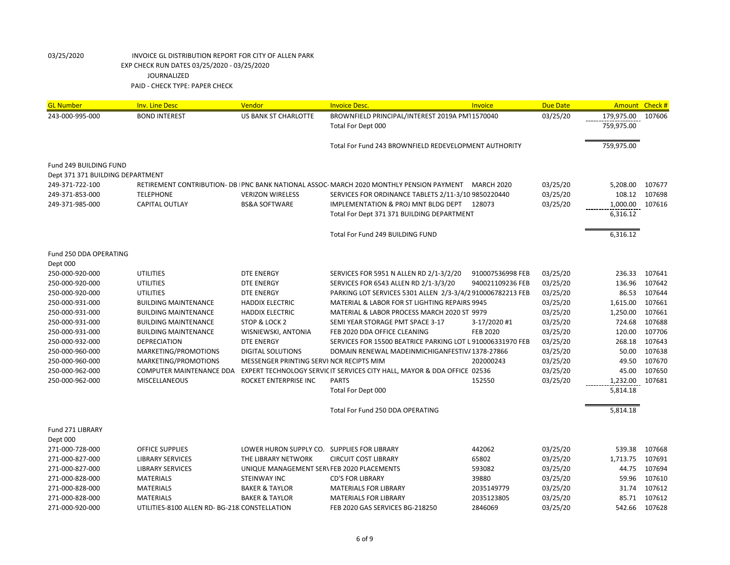| <b>GL Number</b>                 | <b>Inv. Line Desc</b>                         | Vendor                                     | <b>Invoice Desc.</b>                                                                      | Invoice           | <b>Due Date</b> | Amount Check #           |        |
|----------------------------------|-----------------------------------------------|--------------------------------------------|-------------------------------------------------------------------------------------------|-------------------|-----------------|--------------------------|--------|
| 243-000-995-000                  | <b>BOND INTEREST</b>                          | <b>US BANK ST CHARLOTTE</b>                | BROWNFIELD PRINCIPAL/INTEREST 2019A PM11570040<br>Total For Dept 000                      |                   | 03/25/20        | 179,975.00<br>759,975.00 | 107606 |
|                                  |                                               |                                            | Total For Fund 243 BROWNFIELD REDEVELOPMENT AUTHORITY                                     |                   |                 | 759,975.00               |        |
| Fund 249 BUILDING FUND           |                                               |                                            |                                                                                           |                   |                 |                          |        |
| Dept 371 371 BUILDING DEPARTMENT |                                               |                                            |                                                                                           |                   |                 |                          |        |
| 249-371-722-100                  |                                               |                                            | RETIREMENT CONTRIBUTION- DB   PNC BANK NATIONAL ASSOC- MARCH 2020 MONTHLY PENSION PAYMENT | <b>MARCH 2020</b> | 03/25/20        | 5,208.00                 | 107677 |
| 249-371-853-000                  | <b>TELEPHONE</b>                              | <b>VERIZON WIRELESS</b>                    | SERVICES FOR ORDINANCE TABLETS 2/11-3/10 9850220440                                       |                   | 03/25/20        | 108.12                   | 107698 |
| 249-371-985-000                  | <b>CAPITAL OUTLAY</b>                         | <b>BS&amp;A SOFTWARE</b>                   | IMPLEMENTATION & PROJ MNT BLDG DEPT<br>Total For Dept 371 371 BUILDING DEPARTMENT         | 128073            | 03/25/20        | 1,000.00<br>6,316.12     | 107616 |
|                                  |                                               |                                            | Total For Fund 249 BUILDING FUND                                                          |                   |                 | 6,316.12                 |        |
| Fund 250 DDA OPERATING           |                                               |                                            |                                                                                           |                   |                 |                          |        |
| Dept 000                         |                                               |                                            |                                                                                           |                   |                 |                          |        |
| 250-000-920-000                  | <b>UTILITIES</b>                              | <b>DTE ENERGY</b>                          | SERVICES FOR 5951 N ALLEN RD 2/1-3/2/20                                                   | 910007536998 FEB  | 03/25/20        | 236.33                   | 107641 |
| 250-000-920-000                  | <b>UTILITIES</b>                              | <b>DTE ENERGY</b>                          | SERVICES FOR 6543 ALLEN RD 2/1-3/3/20                                                     | 940021109236 FEB  | 03/25/20        | 136.96                   | 107642 |
| 250-000-920-000                  | <b>UTILITIES</b>                              | <b>DTE ENERGY</b>                          | PARKING LOT SERVICES 5301 ALLEN 2/3-3/4/2 910006782213 FEB                                |                   | 03/25/20        | 86.53                    | 107644 |
| 250-000-931-000                  | <b>BUILDING MAINTENANCE</b>                   | <b>HADDIX ELECTRIC</b>                     | MATERIAL & LABOR FOR ST LIGHTING REPAIRS 9945                                             |                   | 03/25/20        | 1,615.00                 | 107661 |
| 250-000-931-000                  | <b>BUILDING MAINTENANCE</b>                   | <b>HADDIX ELECTRIC</b>                     | MATERIAL & LABOR PROCESS MARCH 2020 ST 9979                                               |                   | 03/25/20        | 1,250.00                 | 107661 |
| 250-000-931-000                  | <b>BUILDING MAINTENANCE</b>                   | STOP & LOCK 2                              | SEMI YEAR STORAGE PMT SPACE 3-17                                                          | 3-17/2020#1       | 03/25/20        | 724.68                   | 107688 |
| 250-000-931-000                  | <b>BUILDING MAINTENANCE</b>                   | WISNIEWSKI, ANTONIA                        | FEB 2020 DDA OFFICE CLEANING                                                              | <b>FEB 2020</b>   | 03/25/20        | 120.00                   | 107706 |
| 250-000-932-000                  | <b>DEPRECIATION</b>                           | <b>DTE ENERGY</b>                          | SERVICES FOR 15500 BEATRICE PARKING LOT L 910006331970 FEB                                |                   | 03/25/20        | 268.18                   | 107643 |
| 250-000-960-000                  | MARKETING/PROMOTIONS                          | <b>DIGITAL SOLUTIONS</b>                   | DOMAIN RENEWAL MADEINMICHIGANFESTIV/1378-27866                                            |                   | 03/25/20        | 50.00                    | 107638 |
| 250-000-960-000                  | MARKETING/PROMOTIONS                          | MESSENGER PRINTING SERVI NCR RECIPTS MIM   |                                                                                           | 202000243         | 03/25/20        | 49.50                    | 107670 |
| 250-000-962-000                  | <b>COMPUTER MAINTENANCE DDA</b>               |                                            | EXPERT TECHNOLOGY SERVIC IT SERVICES CITY HALL, MAYOR & DDA OFFICE 02536                  |                   | 03/25/20        | 45.00                    | 107650 |
| 250-000-962-000                  | <b>MISCELLANEOUS</b>                          | ROCKET ENTERPRISE INC                      | <b>PARTS</b>                                                                              | 152550            | 03/25/20        | 1,232.00                 | 107681 |
|                                  |                                               |                                            | Total For Dept 000                                                                        |                   |                 | 5,814.18                 |        |
|                                  |                                               |                                            | Total For Fund 250 DDA OPERATING                                                          |                   |                 | 5,814.18                 |        |
| Fund 271 LIBRARY                 |                                               |                                            |                                                                                           |                   |                 |                          |        |
| Dept 000                         |                                               |                                            |                                                                                           |                   |                 |                          |        |
| 271-000-728-000                  | <b>OFFICE SUPPLIES</b>                        | LOWER HURON SUPPLY CO.                     | <b>SUPPLIES FOR LIBRARY</b>                                                               | 442062            | 03/25/20        | 539.38                   | 107668 |
| 271-000-827-000                  | <b>LIBRARY SERVICES</b>                       | THE LIBRARY NETWORK                        | <b>CIRCUIT COST LIBRARY</b>                                                               | 65802             | 03/25/20        | 1,713.75                 | 107691 |
| 271-000-827-000                  | <b>LIBRARY SERVICES</b>                       | UNIQUE MANAGEMENT SER\ FEB 2020 PLACEMENTS |                                                                                           | 593082            | 03/25/20        | 44.75                    | 107694 |
| 271-000-828-000                  | <b>MATERIALS</b>                              | STEINWAY INC                               | <b>CD'S FOR LIBRARY</b>                                                                   | 39880             | 03/25/20        | 59.96                    | 107610 |
| 271-000-828-000                  | <b>MATERIALS</b>                              | <b>BAKER &amp; TAYLOR</b>                  | <b>MATERIALS FOR LIBRARY</b>                                                              | 2035149779        | 03/25/20        | 31.74                    | 107612 |
| 271-000-828-000                  | <b>MATERIALS</b>                              | <b>BAKER &amp; TAYLOR</b>                  | <b>MATERIALS FOR LIBRARY</b>                                                              | 2035123805        | 03/25/20        | 85.71                    | 107612 |
| 271-000-920-000                  | UTILITIES-8100 ALLEN RD- BG-218 CONSTELLATION |                                            | FEB 2020 GAS SERVICES BG-218250                                                           | 2846069           | 03/25/20        | 542.66                   | 107628 |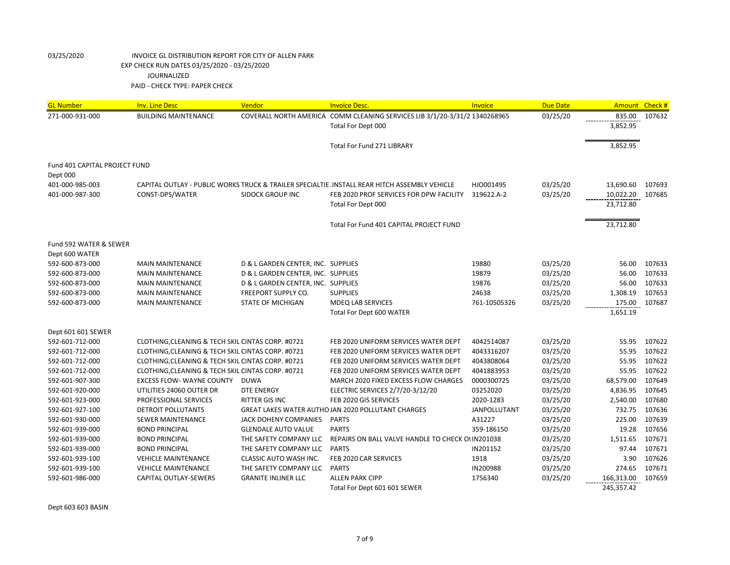| <b>GL Number</b>              | <b>Inv. Line Desc</b>                             | Vendor                             | <b>Invoice Desc.</b>                                                                         | Invoice             | <b>Due Date</b> | Amount Check # |        |
|-------------------------------|---------------------------------------------------|------------------------------------|----------------------------------------------------------------------------------------------|---------------------|-----------------|----------------|--------|
| 271-000-931-000               | <b>BUILDING MAINTENANCE</b>                       |                                    | COVERALL NORTH AMERICA COMM CLEANING SERVICES LIB 3/1/20-3/31/2 1340268965                   |                     | 03/25/20        | 835.00         | 107632 |
|                               |                                                   |                                    | Total For Dept 000                                                                           |                     |                 | 3,852.95       |        |
|                               |                                                   |                                    |                                                                                              |                     |                 |                |        |
|                               |                                                   |                                    | <b>Total For Fund 271 LIBRARY</b>                                                            |                     |                 | 3,852.95       |        |
|                               |                                                   |                                    |                                                                                              |                     |                 |                |        |
| Fund 401 CAPITAL PROJECT FUND |                                                   |                                    |                                                                                              |                     |                 |                |        |
| Dept 000                      |                                                   |                                    |                                                                                              |                     |                 |                |        |
| 401-000-985-003               |                                                   |                                    | CAPITAL OUTLAY - PUBLIC WORKS TRUCK & TRAILER SPECIALTIE.INSTALL REAR HITCH ASSEMBLY VEHICLE | HJO001495           | 03/25/20        | 13,690.60      | 107693 |
| 401-000-987-300               | CONST-DPS/WATER                                   | <b>SIDOCK GROUP INC</b>            | FEB 2020 PROF SERVICES FOR DPW FACILITY                                                      | 319622.A-2          | 03/25/20        | 10,022.20      | 107685 |
|                               |                                                   |                                    | Total For Dept 000                                                                           |                     |                 | 23,712.80      |        |
|                               |                                                   |                                    |                                                                                              |                     |                 |                |        |
|                               |                                                   |                                    | Total For Fund 401 CAPITAL PROJECT FUND                                                      |                     |                 | 23,712.80      |        |
|                               |                                                   |                                    |                                                                                              |                     |                 |                |        |
| Fund 592 WATER & SEWER        |                                                   |                                    |                                                                                              |                     |                 |                |        |
| Dept 600 WATER                |                                                   |                                    |                                                                                              |                     |                 |                |        |
| 592-600-873-000               | <b>MAIN MAINTENANCE</b>                           | D & L GARDEN CENTER, INC. SUPPLIES |                                                                                              | 19880               | 03/25/20        | 56.00          | 107633 |
| 592-600-873-000               | <b>MAIN MAINTENANCE</b>                           | D & L GARDEN CENTER, INC. SUPPLIES |                                                                                              | 19879               | 03/25/20        | 56.00          | 107633 |
| 592-600-873-000               | <b>MAIN MAINTENANCE</b>                           | D & L GARDEN CENTER, INC. SUPPLIES |                                                                                              | 19876               | 03/25/20        | 56.00          | 107633 |
| 592-600-873-000               | <b>MAIN MAINTENANCE</b>                           | FREEPORT SUPPLY CO.                | <b>SUPPLIES</b>                                                                              | 24638               | 03/25/20        | 1,308.19       | 107653 |
| 592-600-873-000               | <b>MAIN MAINTENANCE</b>                           | <b>STATE OF MICHIGAN</b>           | <b>MDEQ LAB SERVICES</b>                                                                     | 761-10505326        | 03/25/20        | 175.00         | 107687 |
|                               |                                                   |                                    | <b>Total For Dept 600 WATER</b>                                                              |                     |                 | 1,651.19       |        |
| Dept 601 601 SEWER            |                                                   |                                    |                                                                                              |                     |                 |                |        |
| 592-601-712-000               | CLOTHING, CLEANING & TECH SKIL CINTAS CORP. #0721 |                                    | FEB 2020 UNIFORM SERVICES WATER DEPT                                                         | 4042514087          | 03/25/20        | 55.95          | 107622 |
| 592-601-712-000               | CLOTHING, CLEANING & TECH SKIL CINTAS CORP. #0721 |                                    | FEB 2020 UNIFORM SERVICES WATER DEPT                                                         | 4043316207          | 03/25/20        | 55.95          | 107622 |
| 592-601-712-000               | CLOTHING, CLEANING & TECH SKIL CINTAS CORP. #0721 |                                    | FEB 2020 UNIFORM SERVICES WATER DEPT                                                         | 4043808064          | 03/25/20        | 55.95          | 107622 |
| 592-601-712-000               | CLOTHING, CLEANING & TECH SKIL CINTAS CORP. #0721 |                                    | FEB 2020 UNIFORM SERVICES WATER DEPT                                                         | 4041883953          | 03/25/20        | 55.95          | 107622 |
| 592-601-907-300               | <b>EXCESS FLOW- WAYNE COUNTY</b>                  | DUWA                               | MARCH 2020 FIXED EXCESS FLOW CHARGES                                                         | 0000300725          | 03/25/20        | 68,579.00      | 107649 |
| 592-601-920-000               | UTILITIES 24060 OUTER DR                          | <b>DTE ENERGY</b>                  | ELECTRIC SERVICES 2/7/20-3/12/20                                                             | 03252020            | 03/25/20        | 4,836.95       | 107645 |
| 592-601-923-000               | PROFESSIONAL SERVICES                             | <b>RITTER GIS INC</b>              | FEB 2020 GIS SERVICES                                                                        | 2020-1283           | 03/25/20        | 2,540.00       | 107680 |
| 592-601-927-100               | DETROIT POLLUTANTS                                |                                    | GREAT LAKES WATER AUTHO JAN 2020 POLLUTANT CHARGES                                           | <b>JANPOLLUTANT</b> | 03/25/20        | 732.75         | 107636 |
| 592-601-930-000               | <b>SEWER MAINTENANCE</b>                          | JACK DOHENY COMPANIES PARTS        |                                                                                              | A31227              | 03/25/20        | 225.00         | 107639 |
| 592-601-939-000               | <b>BOND PRINCIPAL</b>                             | <b>GLENDALE AUTO VALUE</b>         | <b>PARTS</b>                                                                                 | 359-186150          | 03/25/20        | 19.28          | 107656 |
| 592-601-939-000               | <b>BOND PRINCIPAL</b>                             | THE SAFETY COMPANY LLC             | REPAIRS ON BALL VALVE HANDLE TO CHECK OUN201038                                              |                     | 03/25/20        | 1,511.65       | 107671 |
| 592-601-939-000               | <b>BOND PRINCIPAL</b>                             | THE SAFETY COMPANY LLC             | PARTS                                                                                        | IN201152            | 03/25/20        | 97.44          | 107671 |
| 592-601-939-100               | <b>VEHICLE MAINTENANCE</b>                        | <b>CLASSIC AUTO WASH INC.</b>      | FEB 2020 CAR SERVICES                                                                        | 1918                | 03/25/20        | 3.90           | 107626 |
| 592-601-939-100               | <b>VEHICLE MAINTENANCE</b>                        | THE SAFETY COMPANY LLC             | PARTS                                                                                        | IN200988            | 03/25/20        | 274.65         | 107671 |
| 592-601-986-000               | <b>CAPITAL OUTLAY-SEWERS</b>                      | <b>GRANITE INLINER LLC</b>         | <b>ALLEN PARK CIPP</b>                                                                       | 1756340             | 03/25/20        | 166,313.00     | 107659 |
|                               |                                                   |                                    | Total For Dept 601 601 SEWER                                                                 |                     |                 | 245,357.42     |        |

Dept 603 603 BASIN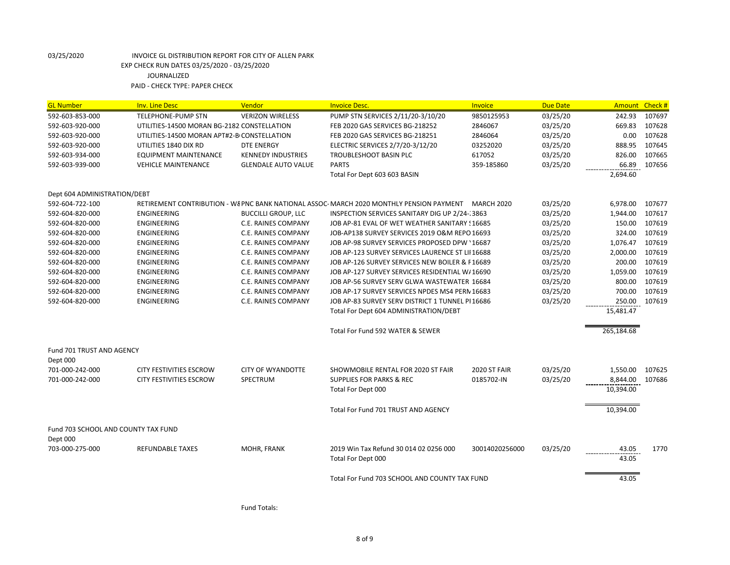| <b>GL Number</b>                    | <b>Inv. Line Desc</b>                       | Vendor                     | <b>Invoice Desc.</b>                                                                                | Invoice        | <b>Due Date</b> | Amount Check # |        |
|-------------------------------------|---------------------------------------------|----------------------------|-----------------------------------------------------------------------------------------------------|----------------|-----------------|----------------|--------|
| 592-603-853-000                     | TELEPHONE-PUMP STN                          | <b>VERIZON WIRELESS</b>    | PUMP STN SERVICES 2/11/20-3/10/20                                                                   | 9850125953     | 03/25/20        | 242.93         | 107697 |
| 592-603-920-000                     | UTILITIES-14500 MORAN BG-2182 CONSTELLATION |                            | FEB 2020 GAS SERVICES BG-218252                                                                     | 2846067        | 03/25/20        | 669.83         | 107628 |
| 592-603-920-000                     | UTILITIES-14500 MORAN APT#2-B CONSTELLATION |                            | FEB 2020 GAS SERVICES BG-218251                                                                     | 2846064        | 03/25/20        | 0.00           | 107628 |
| 592-603-920-000                     | UTILITIES 1840 DIX RD                       | DTE ENERGY                 | ELECTRIC SERVICES 2/7/20-3/12/20                                                                    | 03252020       | 03/25/20        | 888.95         | 107645 |
| 592-603-934-000                     | <b>EQUIPMENT MAINTENANCE</b>                | <b>KENNEDY INDUSTRIES</b>  | TROUBLESHOOT BASIN PLC                                                                              | 617052         | 03/25/20        | 826.00         | 107665 |
| 592-603-939-000                     | <b>VEHICLE MAINTENANCE</b>                  | <b>GLENDALE AUTO VALUE</b> | <b>PARTS</b>                                                                                        | 359-185860     | 03/25/20        | 66.89          | 107656 |
|                                     |                                             |                            | Total For Dept 603 603 BASIN                                                                        |                |                 | 2,694.60       |        |
| Dept 604 ADMINISTRATION/DEBT        |                                             |                            |                                                                                                     |                |                 |                |        |
| 592-604-722-100                     |                                             |                            | RETIREMENT CONTRIBUTION - W& PNC BANK NATIONAL ASSOC- MARCH 2020 MONTHLY PENSION PAYMENT MARCH 2020 |                | 03/25/20        | 6,978.00       | 107677 |
| 592-604-820-000                     | ENGINEERING                                 | <b>BUCCILLI GROUP, LLC</b> | INSPECTION SERVICES SANITARY DIG UP 2/24-13863                                                      |                | 03/25/20        | 1,944.00       | 107617 |
| 592-604-820-000                     | ENGINEERING                                 | <b>C.E. RAINES COMPANY</b> | JOB AP-81 EVAL OF WET WEATHER SANITARY ! 16685                                                      |                | 03/25/20        | 150.00         | 107619 |
| 592-604-820-000                     | ENGINEERING                                 | <b>C.E. RAINES COMPANY</b> | JOB-AP138 SURVEY SERVICES 2019 O&M REPO 16693                                                       |                | 03/25/20        | 324.00         | 107619 |
| 592-604-820-000                     | ENGINEERING                                 | <b>C.E. RAINES COMPANY</b> | JOB AP-98 SURVEY SERVICES PROPOSED DPW '16687                                                       |                | 03/25/20        | 1,076.47       | 107619 |
| 592-604-820-000                     | ENGINEERING                                 | <b>C.E. RAINES COMPANY</b> | JOB AP-123 SURVEY SERVICES LAURENCE ST LII 16688                                                    |                | 03/25/20        | 2,000.00       | 107619 |
| 592-604-820-000                     | ENGINEERING                                 | <b>C.E. RAINES COMPANY</b> | JOB AP-126 SURVEY SERVICES NEW BOILER & F16689                                                      |                | 03/25/20        | 200.00         | 107619 |
| 592-604-820-000                     | ENGINEERING                                 | <b>C.E. RAINES COMPANY</b> | JOB AP-127 SURVEY SERVICES RESIDENTIAL W/16690                                                      |                | 03/25/20        | 1,059.00       | 107619 |
| 592-604-820-000                     | ENGINEERING                                 | <b>C.E. RAINES COMPANY</b> | JOB AP-56 SURVEY SERV GLWA WASTEWATER 16684                                                         |                | 03/25/20        | 800.00         | 107619 |
| 592-604-820-000                     | ENGINEERING                                 | <b>C.E. RAINES COMPANY</b> | JOB AP-17 SURVEY SERVICES NPDES MS4 PERN 16683                                                      |                | 03/25/20        | 700.00         | 107619 |
| 592-604-820-000                     | ENGINEERING                                 | <b>C.E. RAINES COMPANY</b> | JOB AP-83 SURVEY SERV DISTRICT 1 TUNNEL PI16686                                                     |                | 03/25/20        | 250.00         | 107619 |
|                                     |                                             |                            | Total For Dept 604 ADMINISTRATION/DEBT                                                              |                |                 | 15,481.47      |        |
|                                     |                                             |                            | Total For Fund 592 WATER & SEWER                                                                    |                |                 | 265,184.68     |        |
| Fund 701 TRUST AND AGENCY           |                                             |                            |                                                                                                     |                |                 |                |        |
| Dept 000                            |                                             |                            |                                                                                                     |                |                 |                |        |
| 701-000-242-000                     | <b>CITY FESTIVITIES ESCROW</b>              | <b>CITY OF WYANDOTTE</b>   | SHOWMOBILE RENTAL FOR 2020 ST FAIR                                                                  | 2020 ST FAIR   | 03/25/20        | 1,550.00       | 107625 |
| 701-000-242-000                     | <b>CITY FESTIVITIES ESCROW</b>              | SPECTRUM                   | <b>SUPPLIES FOR PARKS &amp; REC</b>                                                                 | 0185702-IN     | 03/25/20        | 8,844.00       | 107686 |
|                                     |                                             |                            | Total For Dept 000                                                                                  |                |                 | 10,394.00      |        |
|                                     |                                             |                            | Total For Fund 701 TRUST AND AGENCY                                                                 |                |                 | 10,394.00      |        |
| Fund 703 SCHOOL AND COUNTY TAX FUND |                                             |                            |                                                                                                     |                |                 |                |        |
| Dept 000                            |                                             |                            |                                                                                                     |                |                 |                |        |
| 703-000-275-000                     | <b>REFUNDABLE TAXES</b>                     | MOHR, FRANK                | 2019 Win Tax Refund 30 014 02 0256 000                                                              | 30014020256000 | 03/25/20        | 43.05          | 1770   |
|                                     |                                             |                            | Total For Dept 000                                                                                  |                |                 | 43.05          |        |
|                                     |                                             |                            | Total For Fund 703 SCHOOL AND COUNTY TAX FUND                                                       |                |                 | 43.05          |        |

Fund Totals: